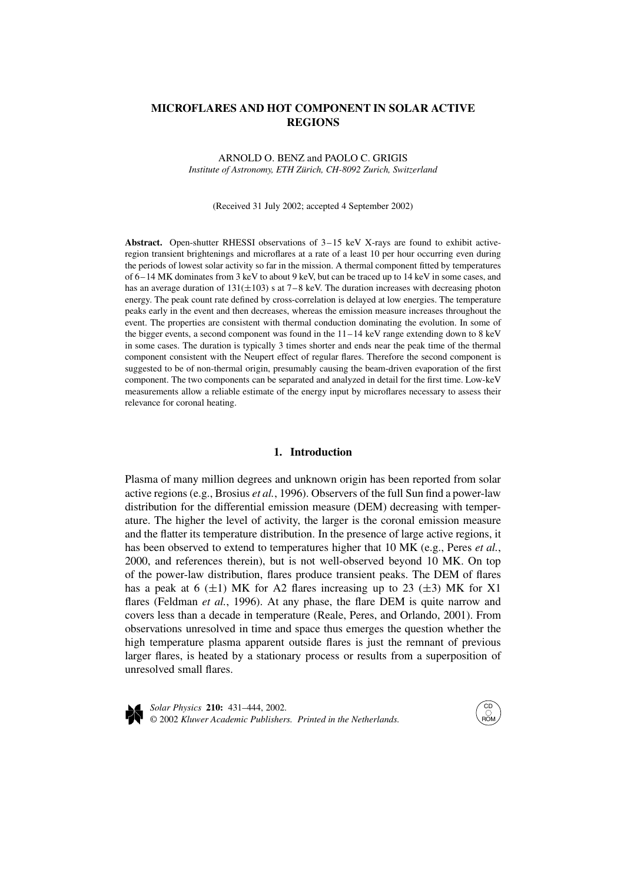# **MICROFLARES AND HOT COMPONENT IN SOLAR ACTIVE REGIONS**

ARNOLD O. BENZ and PAOLO C. GRIGIS *Institute of Astronomy, ETH Zürich, CH-8092 Zurich, Switzerland*

(Received 31 July 2002; accepted 4 September 2002)

**Abstract.** Open-shutter RHESSI observations of 3–15 keV X-rays are found to exhibit activeregion transient brightenings and microflares at a rate of a least 10 per hour occurring even during the periods of lowest solar activity so far in the mission. A thermal component fitted by temperatures of 6–14 MK dominates from 3 keV to about 9 keV, but can be traced up to 14 keV in some cases, and has an average duration of  $131(\pm 103)$  s at  $7-8$  keV. The duration increases with decreasing photon energy. The peak count rate defined by cross-correlation is delayed at low energies. The temperature peaks early in the event and then decreases, whereas the emission measure increases throughout the event. The properties are consistent with thermal conduction dominating the evolution. In some of the bigger events, a second component was found in the  $11-14$  keV range extending down to 8 keV in some cases. The duration is typically 3 times shorter and ends near the peak time of the thermal component consistent with the Neupert effect of regular flares. Therefore the second component is suggested to be of non-thermal origin, presumably causing the beam-driven evaporation of the first component. The two components can be separated and analyzed in detail for the first time. Low-keV measurements allow a reliable estimate of the energy input by microflares necessary to assess their relevance for coronal heating.

### **1. Introduction**

Plasma of many million degrees and unknown origin has been reported from solar active regions (e.g., Brosius *et al.*, 1996). Observers of the full Sun find a power-law distribution for the differential emission measure (DEM) decreasing with temperature. The higher the level of activity, the larger is the coronal emission measure and the flatter its temperature distribution. In the presence of large active regions, it has been observed to extend to temperatures higher that 10 MK (e.g., Peres *et al.*, 2000, and references therein), but is not well-observed beyond 10 MK. On top of the power-law distribution, flares produce transient peaks. The DEM of flares has a peak at 6 ( $\pm$ 1) MK for A2 flares increasing up to 23 ( $\pm$ 3) MK for X1 flares (Feldman *et al.*, 1996). At any phase, the flare DEM is quite narrow and covers less than a decade in temperature (Reale, Peres, and Orlando, 2001). From observations unresolved in time and space thus emerges the question whether the high temperature plasma apparent outside flares is just the remnant of previous larger flares, is heated by a stationary process or results from a superposition of unresolved small flares.



*Solar Physics* **210:** 431–444, 2002. © 2002 *Kluwer Academic Publishers. Printed in the Netherlands.*

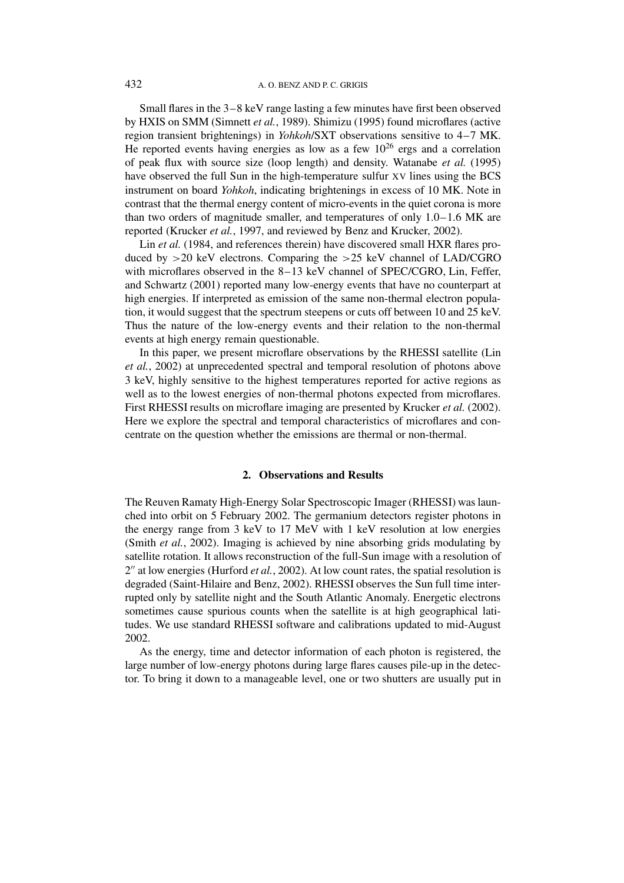Small flares in the 3–8 keV range lasting a few minutes have first been observed by HXIS on SMM (Simnett *et al.*, 1989). Shimizu (1995) found microflares (active region transient brightenings) in *Yohkoh*/SXT observations sensitive to 4–7 MK. He reported events having energies as low as a few  $10^{26}$  ergs and a correlation of peak flux with source size (loop length) and density. Watanabe *et al.* (1995) have observed the full Sun in the high-temperature sulfur XV lines using the BCS instrument on board *Yohkoh*, indicating brightenings in excess of 10 MK. Note in contrast that the thermal energy content of micro-events in the quiet corona is more than two orders of magnitude smaller, and temperatures of only  $1.0-1.6$  MK are reported (Krucker *et al.*, 1997, and reviewed by Benz and Krucker, 2002).

Lin *et al.* (1984, and references therein) have discovered small HXR flares produced by *>*20 keV electrons. Comparing the *>*25 keV channel of LAD/CGRO with microflares observed in the 8–13 keV channel of SPEC/CGRO, Lin, Feffer, and Schwartz (2001) reported many low-energy events that have no counterpart at high energies. If interpreted as emission of the same non-thermal electron population, it would suggest that the spectrum steepens or cuts off between 10 and 25 keV. Thus the nature of the low-energy events and their relation to the non-thermal events at high energy remain questionable.

In this paper, we present microflare observations by the RHESSI satellite (Lin *et al.*, 2002) at unprecedented spectral and temporal resolution of photons above 3 keV, highly sensitive to the highest temperatures reported for active regions as well as to the lowest energies of non-thermal photons expected from microflares. First RHESSI results on microflare imaging are presented by Krucker *et al.* (2002). Here we explore the spectral and temporal characteristics of microflares and concentrate on the question whether the emissions are thermal or non-thermal.

### **2. Observations and Results**

The Reuven Ramaty High-Energy Solar Spectroscopic Imager (RHESSI) was launched into orbit on 5 February 2002. The germanium detectors register photons in the energy range from 3 keV to 17 MeV with 1 keV resolution at low energies (Smith *et al.*, 2002). Imaging is achieved by nine absorbing grids modulating by satellite rotation. It allows reconstruction of the full-Sun image with a resolution of 2" at low energies (Hurford *et al.*, 2002). At low count rates, the spatial resolution is degraded (Saint-Hilaire and Benz, 2002). RHESSI observes the Sun full time interrupted only by satellite night and the South Atlantic Anomaly. Energetic electrons sometimes cause spurious counts when the satellite is at high geographical latitudes. We use standard RHESSI software and calibrations updated to mid-August 2002.

As the energy, time and detector information of each photon is registered, the large number of low-energy photons during large flares causes pile-up in the detector. To bring it down to a manageable level, one or two shutters are usually put in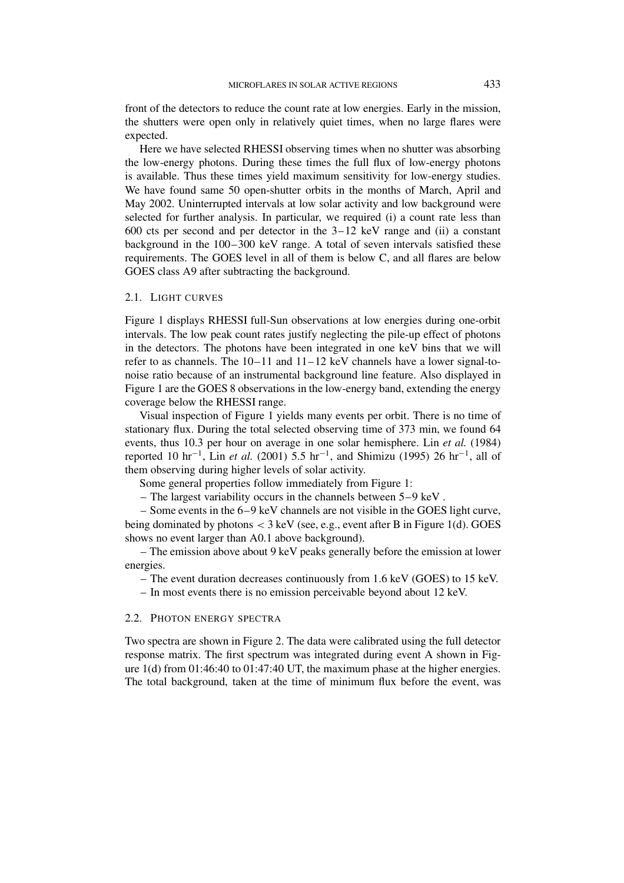front of the detectors to reduce the count rate at low energies. Early in the mission, the shutters were open only in relatively quiet times, when no large flares were expected.

Here we have selected RHESSI observing times when no shutter was absorbing the low-energy photons. During these times the full flux of low-energy photons is available. Thus these times yield maximum sensitivity for low-energy studies. We have found same 50 open-shutter orbits in the months of March, April and May 2002. Uninterrupted intervals at low solar activity and low background were selected for further analysis. In particular, we required (i) a count rate less than 600 cts per second and per detector in the 3–12 keV range and (ii) a constant background in the 100–300 keV range. A total of seven intervals satisfied these requirements. The GOES level in all of them is below C, and all flares are below GOES class A9 after subtracting the background.

#### 2.1. LIGHT CURVES

Figure 1 displays RHESSI full-Sun observations at low energies during one-orbit intervals. The low peak count rates justify neglecting the pile-up effect of photons in the detectors. The photons have been integrated in one keV bins that we will refer to as channels. The 10–11 and 11–12 keV channels have a lower signal-tonoise ratio because of an instrumental background line feature. Also displayed in Figure 1 are the GOES 8 observations in the low-energy band, extending the energy coverage below the RHESSI range.

Visual inspection of Figure 1 yields many events per orbit. There is no time of stationary flux. During the total selected observing time of 373 min, we found 64 events, thus 10.3 per hour on average in one solar hemisphere. Lin *et al.* (1984) reported 10 hr<sup>-1</sup>, Lin *et al.* (2001) 5.5 hr<sup>-1</sup>, and Shimizu (1995) 26 hr<sup>-1</sup>, all of them observing during higher levels of solar activity.

Some general properties follow immediately from Figure 1:

– The largest variability occurs in the channels between 5–9 keV .

– Some events in the 6–9 keV channels are not visible in the GOES light curve, being dominated by photons *<* 3 keV (see, e.g., event after B in Figure 1(d). GOES shows no event larger than A0.1 above background).

– The emission above about 9 keV peaks generally before the emission at lower energies.

– The event duration decreases continuously from 1.6 keV (GOES) to 15 keV.

– In most events there is no emission perceivable beyond about 12 keV.

### 2.2. PHOTON ENERGY SPECTRA

Two spectra are shown in Figure 2. The data were calibrated using the full detector response matrix. The first spectrum was integrated during event A shown in Figure 1(d) from 01:46:40 to 01:47:40 UT, the maximum phase at the higher energies. The total background, taken at the time of minimum flux before the event, was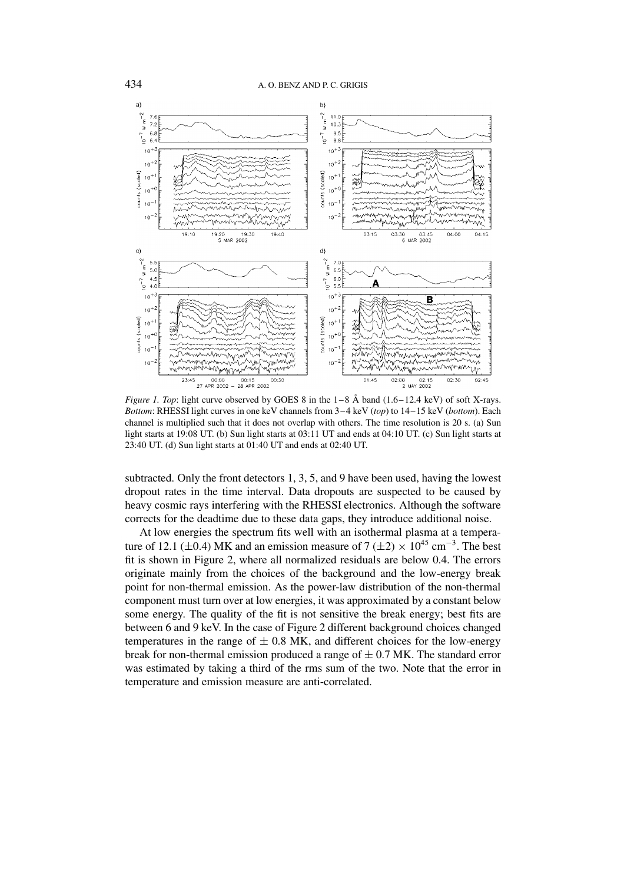

*Figure 1. Top*: light curve observed by GOES 8 in the  $1-8$  Å band  $(1.6-12.4 \text{ keV})$  of soft X-rays. *Bottom*: RHESSI light curves in one keV channels from 3–4 keV (*top*) to 14–15 keV (*bottom*). Each channel is multiplied such that it does not overlap with others. The time resolution is 20 s. (a) Sun light starts at 19:08 UT. (b) Sun light starts at 03:11 UT and ends at 04:10 UT. (c) Sun light starts at 23:40 UT. (d) Sun light starts at 01:40 UT and ends at 02:40 UT.

subtracted. Only the front detectors 1, 3, 5, and 9 have been used, having the lowest dropout rates in the time interval. Data dropouts are suspected to be caused by heavy cosmic rays interfering with the RHESSI electronics. Although the software corrects for the deadtime due to these data gaps, they introduce additional noise.

At low energies the spectrum fits well with an isothermal plasma at a temperature of 12.1 ( $\pm$ 0.4) MK and an emission measure of 7 ( $\pm$ 2)  $\times$  10<sup>45</sup> cm<sup>-3</sup>. The best fit is shown in Figure 2, where all normalized residuals are below 0.4. The errors originate mainly from the choices of the background and the low-energy break point for non-thermal emission. As the power-law distribution of the non-thermal component must turn over at low energies, it was approximated by a constant below some energy. The quality of the fit is not sensitive the break energy; best fits are between 6 and 9 keV. In the case of Figure 2 different background choices changed temperatures in the range of  $\pm$  0.8 MK, and different choices for the low-energy break for non-thermal emission produced a range of  $\pm$  0.7 MK. The standard error was estimated by taking a third of the rms sum of the two. Note that the error in temperature and emission measure are anti-correlated.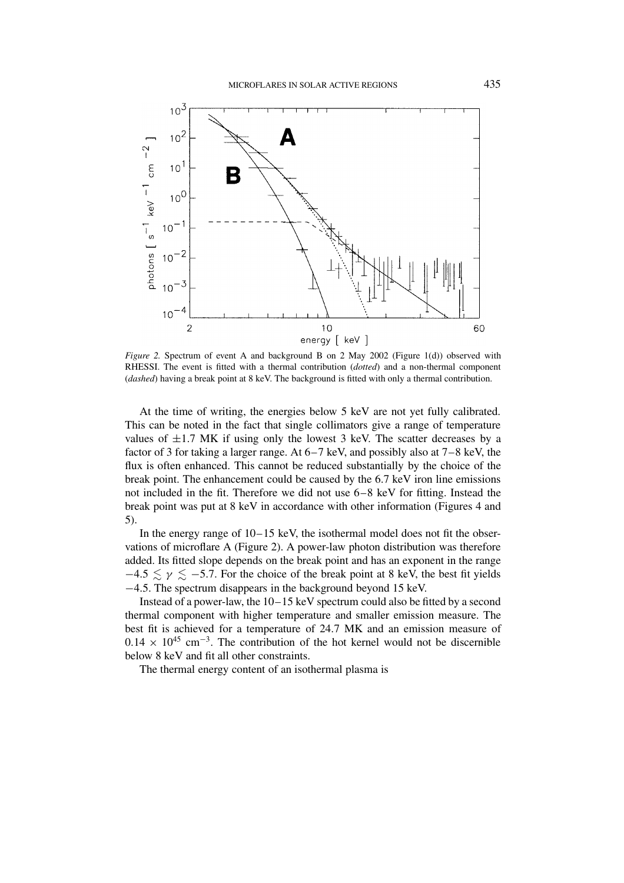

*Figure 2.* Spectrum of event A and background B on 2 May 2002 (Figure 1(d)) observed with RHESSI. The event is fitted with a thermal contribution (*dotted*) and a non-thermal component (*dashed*) having a break point at 8 keV. The background is fitted with only a thermal contribution.

At the time of writing, the energies below 5 keV are not yet fully calibrated. This can be noted in the fact that single collimators give a range of temperature values of  $\pm 1.7$  MK if using only the lowest 3 keV. The scatter decreases by a factor of 3 for taking a larger range. At 6–7 keV, and possibly also at 7–8 keV, the flux is often enhanced. This cannot be reduced substantially by the choice of the break point. The enhancement could be caused by the 6.7 keV iron line emissions not included in the fit. Therefore we did not use 6–8 keV for fitting. Instead the break point was put at 8 keV in accordance with other information (Figures 4 and 5).

In the energy range of 10–15 keV, the isothermal model does not fit the observations of microflare A (Figure 2). A power-law photon distribution was therefore added. Its fitted slope depends on the break point and has an exponent in the range  $-4.5 \le \gamma \le -5.7$ . For the choice of the break point at 8 keV, the best fit yields −4*.*5. The spectrum disappears in the background beyond 15 keV.

Instead of a power-law, the 10–15 keV spectrum could also be fitted by a second thermal component with higher temperature and smaller emission measure. The best fit is achieved for a temperature of 24.7 MK and an emission measure of  $0.14 \times 10^{45}$  cm<sup>-3</sup>. The contribution of the hot kernel would not be discernible below 8 keV and fit all other constraints.

The thermal energy content of an isothermal plasma is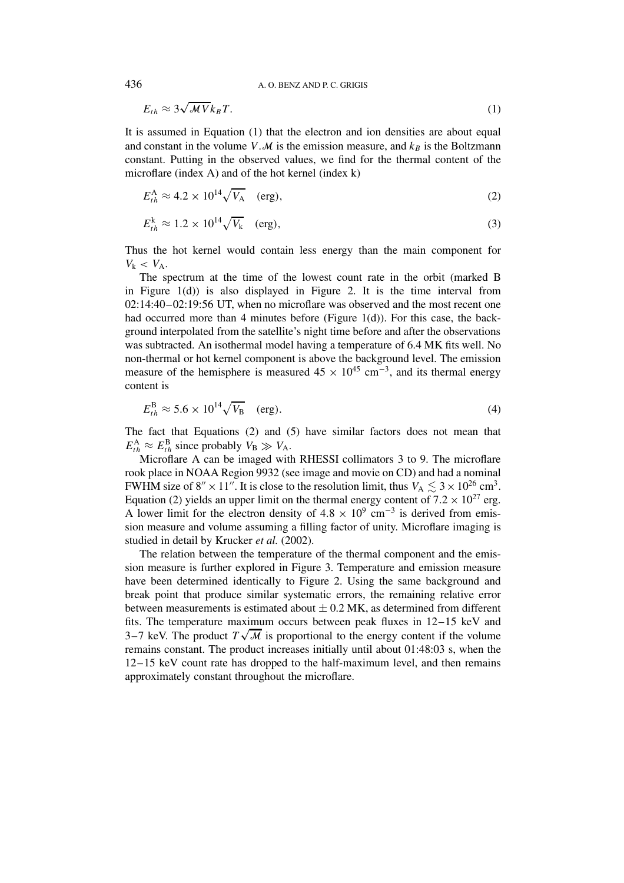436 A. O. BENZ AND P. C. GRIGIS

$$
E_{th} \approx 3\sqrt{\mathcal{M}V}k_B T. \tag{1}
$$

It is assumed in Equation (1) that the electron and ion densities are about equal and constant in the volume *V*. *M* is the emission measure, and  $k_B$  is the Boltzmann constant. Putting in the observed values, we find for the thermal content of the microflare (index A) and of the hot kernel (index k)

$$
E_{th}^{\rm A} \approx 4.2 \times 10^{14} \sqrt{V_{\rm A}} \quad \text{(erg)},\tag{2}
$$

$$
E_{th}^k \approx 1.2 \times 10^{14} \sqrt{V_k} \quad (erg), \tag{3}
$$

Thus the hot kernel would contain less energy than the main component for  $V_k < V_A$ .

The spectrum at the time of the lowest count rate in the orbit (marked B in Figure 1(d)) is also displayed in Figure 2. It is the time interval from 02:14:40–02:19:56 UT, when no microflare was observed and the most recent one had occurred more than 4 minutes before (Figure 1(d)). For this case, the background interpolated from the satellite's night time before and after the observations was subtracted. An isothermal model having a temperature of 6.4 MK fits well. No non-thermal or hot kernel component is above the background level. The emission measure of the hemisphere is measured  $45 \times 10^{45}$  cm<sup>-3</sup>, and its thermal energy content is

$$
E_{th}^{\rm B} \approx 5.6 \times 10^{14} \sqrt{V_{\rm B}} \quad \text{(erg)}.
$$

The fact that Equations (2) and (5) have similar factors does not mean that  $E_{th}^{\text{A}} \approx E_{th}^{\text{B}}$  since probably  $V_{\text{B}} \gg V_{\text{A}}$ .

Microflare A can be imaged with RHESSI collimators 3 to 9. The microflare rook place in NOAA Region 9932 (see image and movie on CD) and had a nominal FWHM size of 8"  $\times$  11". It is close to the resolution limit, thus  $V_A \lesssim 3 \times 10^{26}$  cm<sup>3</sup>. Equation (2) yields an upper limit on the thermal energy content of  $7.2 \times 10^{27}$  erg. A lower limit for the electron density of  $4.8 \times 10^9$  cm<sup>-3</sup> is derived from emission measure and volume assuming a filling factor of unity. Microflare imaging is studied in detail by Krucker *et al.* (2002).

The relation between the temperature of the thermal component and the emission measure is further explored in Figure 3. Temperature and emission measure have been determined identically to Figure 2. Using the same background and break point that produce similar systematic errors, the remaining relative error between measurements is estimated about  $\pm$  0.2 MK, as determined from different fits. The temperature maximum occurs between peak fluxes in 12–15 keV and 3–7 keV. The product  $T\sqrt{M}$  is proportional to the energy content if the volume remains constant. The product increases initially until about 01:48:03 s, when the 12–15 keV count rate has dropped to the half-maximum level, and then remains approximately constant throughout the microflare.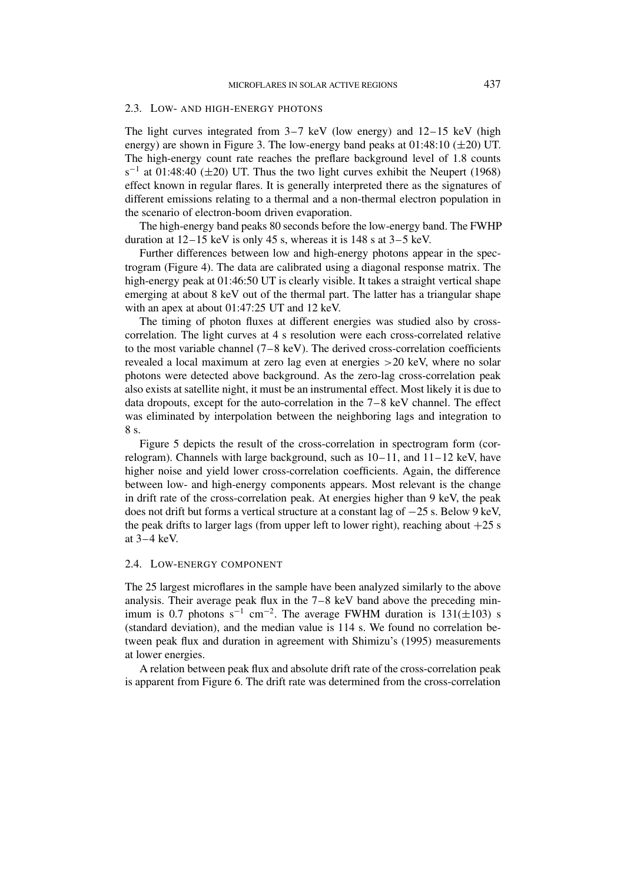### 2.3. LOW- AND HIGH-ENERGY PHOTONS

The light curves integrated from 3–7 keV (low energy) and 12–15 keV (high energy) are shown in Figure 3. The low-energy band peaks at  $01:48:10 (\pm 20)$  UT. The high-energy count rate reaches the preflare background level of 1.8 counts  $s^{-1}$  at 01:48:40 ( $\pm$ 20) UT. Thus the two light curves exhibit the Neupert (1968) effect known in regular flares. It is generally interpreted there as the signatures of different emissions relating to a thermal and a non-thermal electron population in the scenario of electron-boom driven evaporation.

The high-energy band peaks 80 seconds before the low-energy band. The FWHP duration at 12–15 keV is only 45 s, whereas it is 148 s at 3–5 keV.

Further differences between low and high-energy photons appear in the spectrogram (Figure 4). The data are calibrated using a diagonal response matrix. The high-energy peak at 01:46:50 UT is clearly visible. It takes a straight vertical shape emerging at about 8 keV out of the thermal part. The latter has a triangular shape with an apex at about 01:47:25 UT and 12 keV.

The timing of photon fluxes at different energies was studied also by crosscorrelation. The light curves at 4 s resolution were each cross-correlated relative to the most variable channel (7–8 keV). The derived cross-correlation coefficients revealed a local maximum at zero lag even at energies *>*20 keV, where no solar photons were detected above background. As the zero-lag cross-correlation peak also exists at satellite night, it must be an instrumental effect. Most likely it is due to data dropouts, except for the auto-correlation in the 7–8 keV channel. The effect was eliminated by interpolation between the neighboring lags and integration to 8 s.

Figure 5 depicts the result of the cross-correlation in spectrogram form (correlogram). Channels with large background, such as 10–11, and 11–12 keV, have higher noise and yield lower cross-correlation coefficients. Again, the difference between low- and high-energy components appears. Most relevant is the change in drift rate of the cross-correlation peak. At energies higher than 9 keV, the peak does not drift but forms a vertical structure at a constant lag of −25 s. Below 9 keV, the peak drifts to larger lags (from upper left to lower right), reaching about  $+25$  s at 3–4 keV.

#### 2.4. LOW-ENERGY COMPONENT

The 25 largest microflares in the sample have been analyzed similarly to the above analysis. Their average peak flux in the 7–8 keV band above the preceding minimum is 0.7 photons s<sup>-1</sup> cm<sup>-2</sup>. The average FWHM duration is 131( $\pm$ 103) s (standard deviation), and the median value is 114 s. We found no correlation between peak flux and duration in agreement with Shimizu's (1995) measurements at lower energies.

A relation between peak flux and absolute drift rate of the cross-correlation peak is apparent from Figure 6. The drift rate was determined from the cross-correlation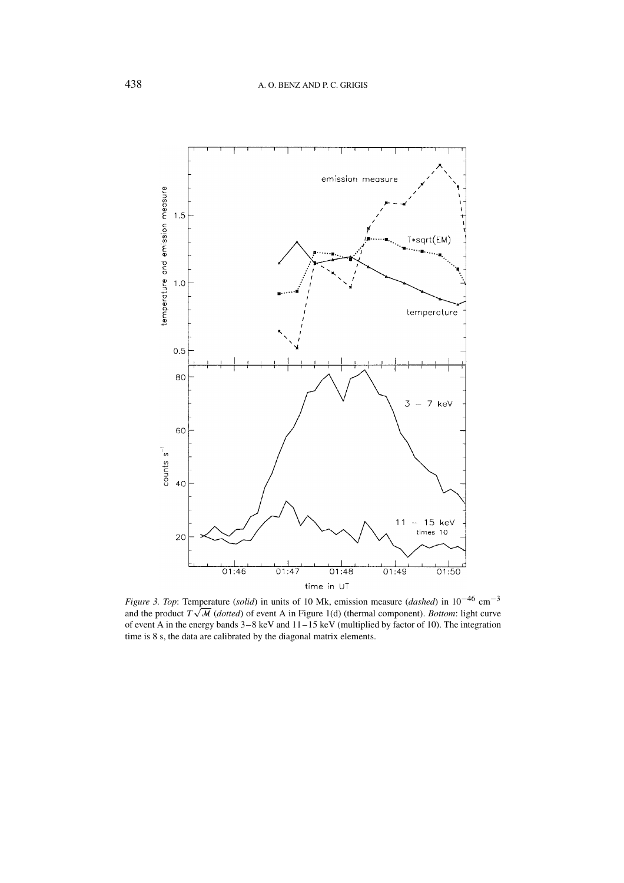

*Figure 3. Top*: Temperature (*solid*) in units of 10 Mk, emission measure (*dashed*) in 10−<sup>46</sup> cm−<sup>3</sup> and the product  $T\sqrt{M}$  (*dotted*) of event A in Figure 1(d) (thermal component). *Bottom*: light curve of event A in the energy bands 3–8 keV and 11–15 keV (multiplied by factor of 10). The integration time is 8 s, the data are calibrated by the diagonal matrix elements.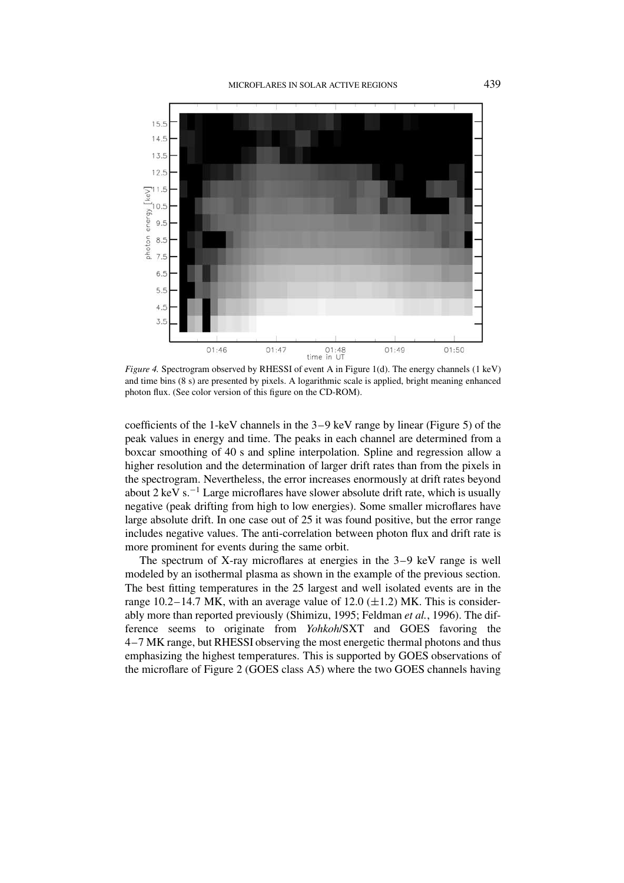

*Figure 4.* Spectrogram observed by RHESSI of event A in Figure 1(d). The energy channels (1 keV) and time bins (8 s) are presented by pixels. A logarithmic scale is applied, bright meaning enhanced photon flux. (See color version of this figure on the CD-ROM).

coefficients of the 1-keV channels in the 3–9 keV range by linear (Figure 5) of the peak values in energy and time. The peaks in each channel are determined from a boxcar smoothing of 40 s and spline interpolation. Spline and regression allow a higher resolution and the determination of larger drift rates than from the pixels in the spectrogram. Nevertheless, the error increases enormously at drift rates beyond about 2 keV s.−<sup>1</sup> Large microflares have slower absolute drift rate, which is usually negative (peak drifting from high to low energies). Some smaller microflares have large absolute drift. In one case out of 25 it was found positive, but the error range includes negative values. The anti-correlation between photon flux and drift rate is more prominent for events during the same orbit.

The spectrum of X-ray microflares at energies in the 3–9 keV range is well modeled by an isothermal plasma as shown in the example of the previous section. The best fitting temperatures in the 25 largest and well isolated events are in the range 10.2–14.7 MK, with an average value of 12.0  $(\pm 1.2)$  MK. This is considerably more than reported previously (Shimizu, 1995; Feldman *et al.*, 1996). The difference seems to originate from *Yohkoh*/SXT and GOES favoring the 4–7 MK range, but RHESSI observing the most energetic thermal photons and thus emphasizing the highest temperatures. This is supported by GOES observations of the microflare of Figure 2 (GOES class A5) where the two GOES channels having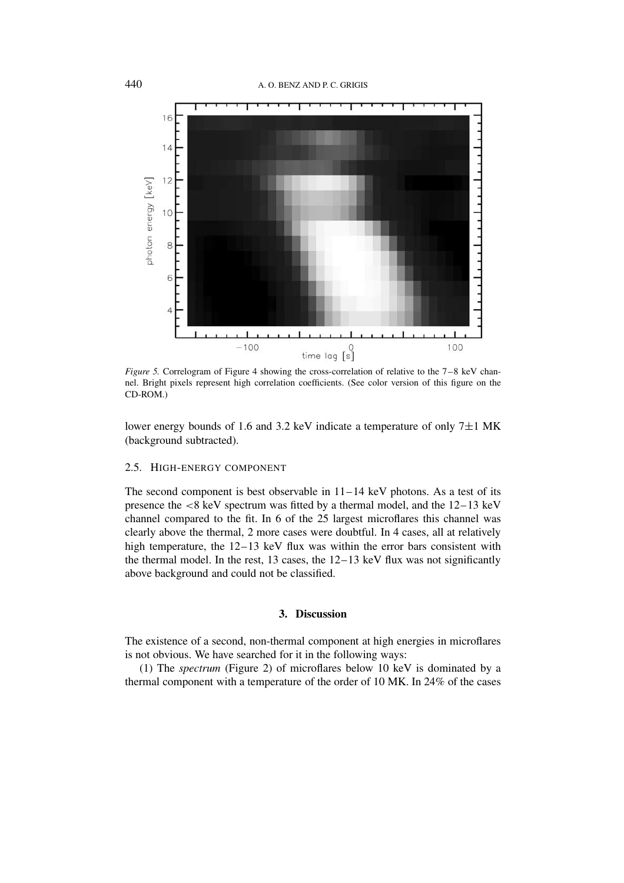

*Figure 5.* Correlogram of Figure 4 showing the cross-correlation of relative to the 7–8 keV channel. Bright pixels represent high correlation coefficients. (See color version of this figure on the CD-ROM.)

lower energy bounds of 1.6 and 3.2 keV indicate a temperature of only  $7\pm1$  MK (background subtracted).

## 2.5. HIGH-ENERGY COMPONENT

The second component is best observable in  $11-14$  keV photons. As a test of its presence the *<*8 keV spectrum was fitted by a thermal model, and the 12–13 keV channel compared to the fit. In 6 of the 25 largest microflares this channel was clearly above the thermal, 2 more cases were doubtful. In 4 cases, all at relatively high temperature, the 12–13 keV flux was within the error bars consistent with the thermal model. In the rest, 13 cases, the  $12-13$  keV flux was not significantly above background and could not be classified.

### **3. Discussion**

The existence of a second, non-thermal component at high energies in microflares is not obvious. We have searched for it in the following ways:

(1) The *spectrum* (Figure 2) of microflares below 10 keV is dominated by a thermal component with a temperature of the order of 10 MK. In 24% of the cases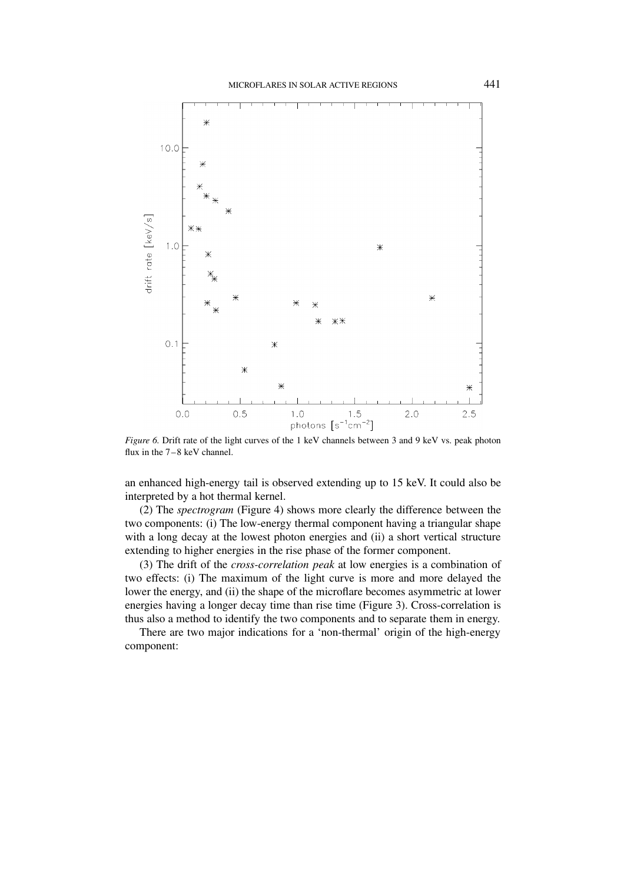

*Figure 6.* Drift rate of the light curves of the 1 keV channels between 3 and 9 keV vs. peak photon flux in the 7–8 keV channel.

an enhanced high-energy tail is observed extending up to 15 keV. It could also be interpreted by a hot thermal kernel.

(2) The *spectrogram* (Figure 4) shows more clearly the difference between the two components: (i) The low-energy thermal component having a triangular shape with a long decay at the lowest photon energies and (ii) a short vertical structure extending to higher energies in the rise phase of the former component.

(3) The drift of the *cross-correlation peak* at low energies is a combination of two effects: (i) The maximum of the light curve is more and more delayed the lower the energy, and (ii) the shape of the microflare becomes asymmetric at lower energies having a longer decay time than rise time (Figure 3). Cross-correlation is thus also a method to identify the two components and to separate them in energy.

There are two major indications for a 'non-thermal' origin of the high-energy component: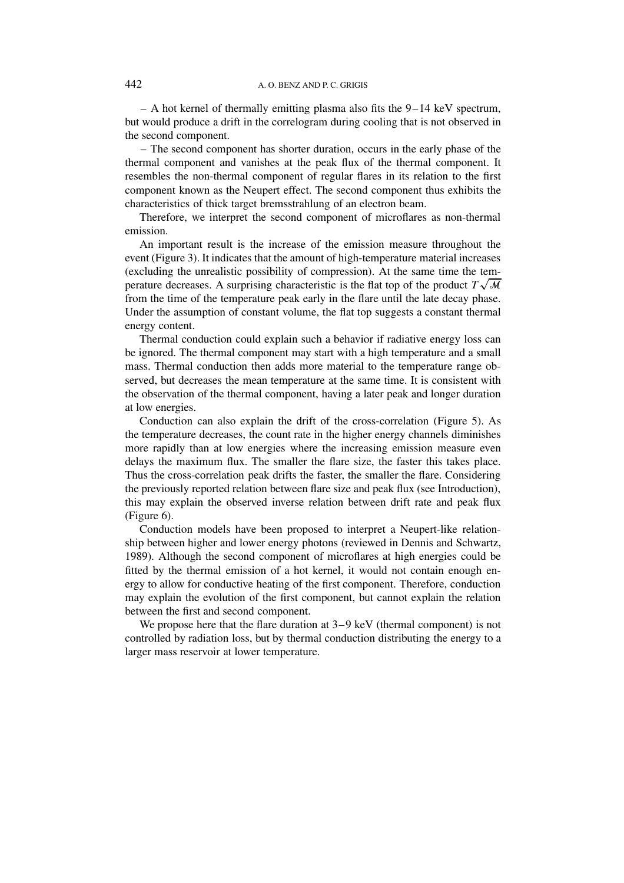– A hot kernel of thermally emitting plasma also fits the 9–14 keV spectrum, but would produce a drift in the correlogram during cooling that is not observed in the second component.

– The second component has shorter duration, occurs in the early phase of the thermal component and vanishes at the peak flux of the thermal component. It resembles the non-thermal component of regular flares in its relation to the first component known as the Neupert effect. The second component thus exhibits the characteristics of thick target bremsstrahlung of an electron beam.

Therefore, we interpret the second component of microflares as non-thermal emission.

An important result is the increase of the emission measure throughout the event (Figure 3). It indicates that the amount of high-temperature material increases (excluding the unrealistic possibility of compression). At the same time the temperature decreases. A surprising characteristic is the flat top of the product  $T\sqrt{\mathcal{M}}$ from the time of the temperature peak early in the flare until the late decay phase. Under the assumption of constant volume, the flat top suggests a constant thermal energy content.

Thermal conduction could explain such a behavior if radiative energy loss can be ignored. The thermal component may start with a high temperature and a small mass. Thermal conduction then adds more material to the temperature range observed, but decreases the mean temperature at the same time. It is consistent with the observation of the thermal component, having a later peak and longer duration at low energies.

Conduction can also explain the drift of the cross-correlation (Figure 5). As the temperature decreases, the count rate in the higher energy channels diminishes more rapidly than at low energies where the increasing emission measure even delays the maximum flux. The smaller the flare size, the faster this takes place. Thus the cross-correlation peak drifts the faster, the smaller the flare. Considering the previously reported relation between flare size and peak flux (see Introduction), this may explain the observed inverse relation between drift rate and peak flux (Figure 6).

Conduction models have been proposed to interpret a Neupert-like relationship between higher and lower energy photons (reviewed in Dennis and Schwartz, 1989). Although the second component of microflares at high energies could be fitted by the thermal emission of a hot kernel, it would not contain enough energy to allow for conductive heating of the first component. Therefore, conduction may explain the evolution of the first component, but cannot explain the relation between the first and second component.

We propose here that the flare duration at  $3-9$  keV (thermal component) is not controlled by radiation loss, but by thermal conduction distributing the energy to a larger mass reservoir at lower temperature.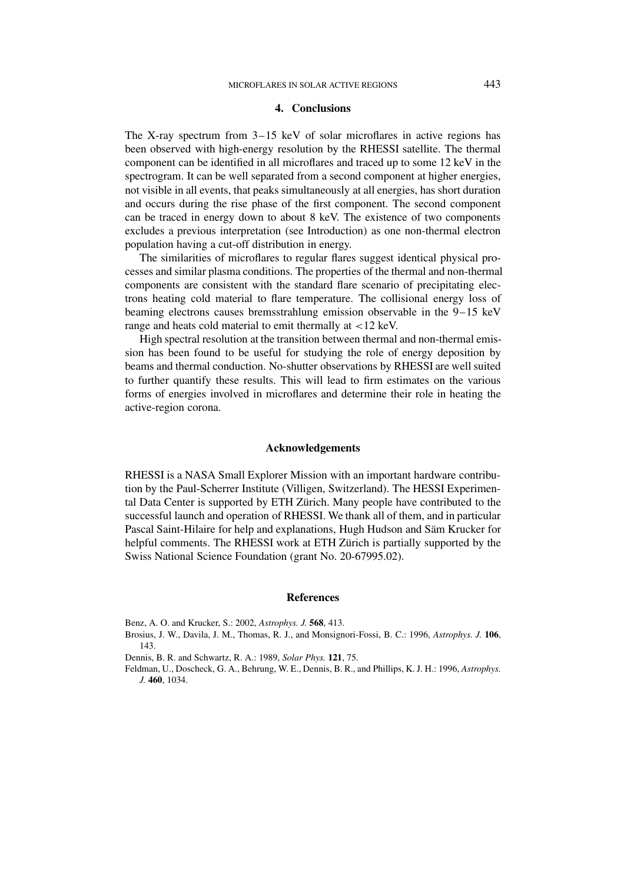#### **4. Conclusions**

The X-ray spectrum from 3–15 keV of solar microflares in active regions has been observed with high-energy resolution by the RHESSI satellite. The thermal component can be identified in all microflares and traced up to some 12 keV in the spectrogram. It can be well separated from a second component at higher energies, not visible in all events, that peaks simultaneously at all energies, has short duration and occurs during the rise phase of the first component. The second component can be traced in energy down to about 8 keV. The existence of two components excludes a previous interpretation (see Introduction) as one non-thermal electron population having a cut-off distribution in energy.

The similarities of microflares to regular flares suggest identical physical processes and similar plasma conditions. The properties of the thermal and non-thermal components are consistent with the standard flare scenario of precipitating electrons heating cold material to flare temperature. The collisional energy loss of beaming electrons causes bremsstrahlung emission observable in the 9–15 keV range and heats cold material to emit thermally at *<*12 keV.

High spectral resolution at the transition between thermal and non-thermal emission has been found to be useful for studying the role of energy deposition by beams and thermal conduction. No-shutter observations by RHESSI are well suited to further quantify these results. This will lead to firm estimates on the various forms of energies involved in microflares and determine their role in heating the active-region corona.

#### **Acknowledgements**

RHESSI is a NASA Small Explorer Mission with an important hardware contribution by the Paul-Scherrer Institute (Villigen, Switzerland). The HESSI Experimental Data Center is supported by ETH Zürich. Many people have contributed to the successful launch and operation of RHESSI. We thank all of them, and in particular Pascal Saint-Hilaire for help and explanations, Hugh Hudson and Säm Krucker for helpful comments. The RHESSI work at ETH Zürich is partially supported by the Swiss National Science Foundation (grant No. 20-67995.02).

#### **References**

Benz, A. O. and Krucker, S.: 2002, *Astrophys. J.* **568**, 413.

- Brosius, J. W., Davila, J. M., Thomas, R. J., and Monsignori-Fossi, B. C.: 1996, *Astrophys. J.* **106**, 143.
- Dennis, B. R. and Schwartz, R. A.: 1989, *Solar Phys.* **121**, 75.
- Feldman, U., Doscheck, G. A., Behrung, W. E., Dennis, B. R., and Phillips, K. J. H.: 1996, *Astrophys. J.* **460**, 1034.